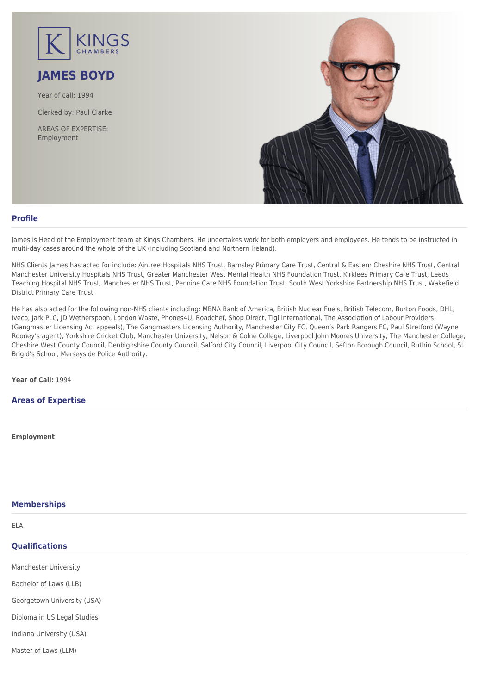

# **JAMES BOYD**

Year of call: 1994

Clerked by: [Paul Clarke](mailto:pclarke@kingschambers.com)

AREAS OF EXPERTISE: Employment



# **Profile**

James is Head of the Employment team at Kings Chambers. He undertakes work for both employers and employees. He tends to be instructed in multi-day cases around the whole of the UK (including Scotland and Northern Ireland).

NHS Clients James has acted for include: Aintree Hospitals NHS Trust, Barnsley Primary Care Trust, Central & Eastern Cheshire NHS Trust, Central Manchester University Hospitals NHS Trust, Greater Manchester West Mental Health NHS Foundation Trust, Kirklees Primary Care Trust, Leeds Teaching Hospital NHS Trust, Manchester NHS Trust, Pennine Care NHS Foundation Trust, South West Yorkshire Partnership NHS Trust, Wakefield District Primary Care Trust

He has also acted for the following non-NHS clients including: MBNA Bank of America, British Nuclear Fuels, British Telecom, Burton Foods, DHL, Iveco, Jark PLC, JD Wetherspoon, London Waste, Phones4U, Roadchef, Shop Direct, Tigi International, The Association of Labour Providers (Gangmaster Licensing Act appeals), The Gangmasters Licensing Authority, Manchester City FC, Queen's Park Rangers FC, Paul Stretford (Wayne Rooney's agent), Yorkshire Cricket Club, Manchester University, Nelson & Colne College, Liverpool John Moores University, The Manchester College, Cheshire West County Council, Denbighshire County Council, Salford City Council, Liverpool City Council, Sefton Borough Council, Ruthin School, St. Brigid's School, Merseyside Police Authority.

**Year of Call:** 1994

# **Areas of Expertise**

**[Employment](#page--1-0)**

# **Memberships**

## ELA

# **Qualifications**

Manchester University

Bachelor of Laws (LLB)

Georgetown University (USA)

Diploma in US Legal Studies

Indiana University (USA)

Master of Laws (LLM)